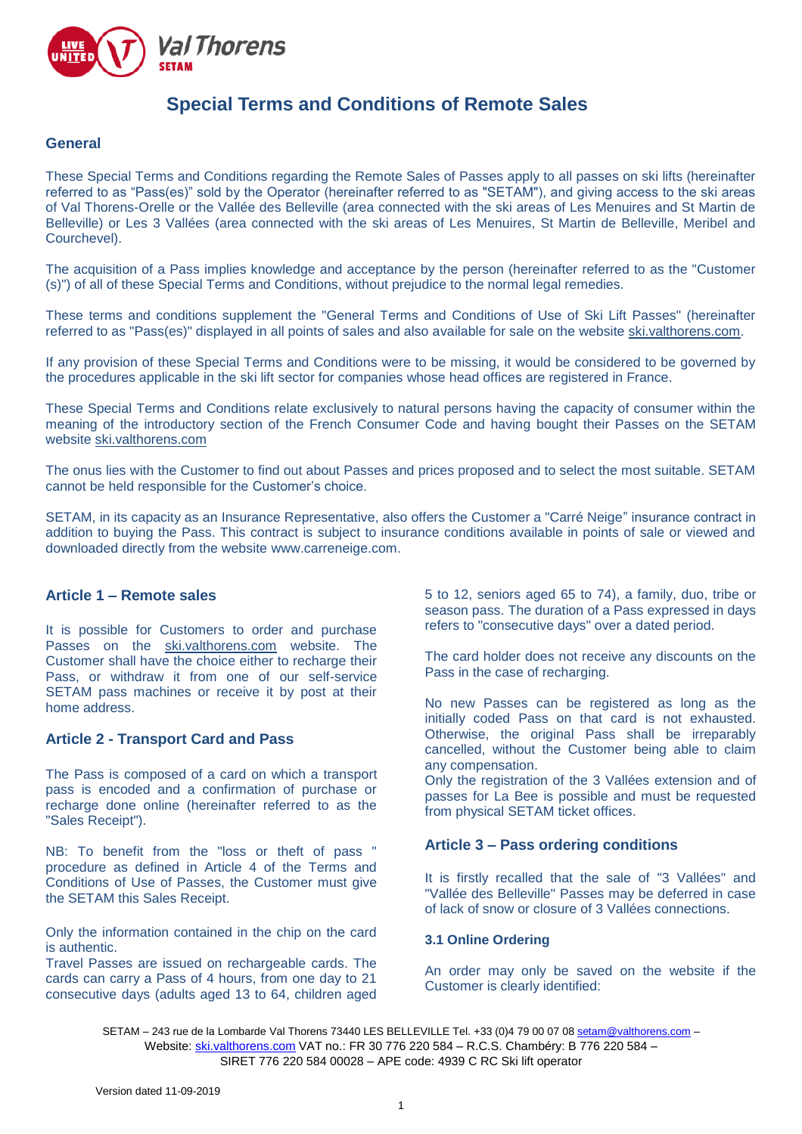

# **Special Terms and Conditions of Remote Sales**

#### **General**

These Special Terms and Conditions regarding the Remote Sales of Passes apply to all passes on ski lifts (hereinafter referred to as "Pass(es)" sold by the Operator (hereinafter referred to as "SETAM"), and giving access to the ski areas of Val Thorens-Orelle or the Vallée des Belleville (area connected with the ski areas of Les Menuires and St Martin de Belleville) or Les 3 Vallées (area connected with the ski areas of Les Menuires, St Martin de Belleville, Meribel and Courchevel).

The acquisition of a Pass implies knowledge and acceptance by the person (hereinafter referred to as the "Customer (s)") of all of these Special Terms and Conditions, without prejudice to the normal legal remedies.

These terms and conditions supplement the "General Terms and Conditions of Use of Ski Lift Passes" (hereinafter referred to as "Pass(es)" displayed in all points of sales and also available for sale on the website [ski.valthorens.com.](http://www.valthorens.com/)

If any provision of these Special Terms and Conditions were to be missing, it would be considered to be governed by the procedures applicable in the ski lift sector for companies whose head offices are registered in France.

These Special Terms and Conditions relate exclusively to natural persons having the capacity of consumer within the meaning of the introductory section of the French Consumer Code and having bought their Passes on the SETAM website [ski.valthorens.com](http://www.valthorens.com/)

The onus lies with the Customer to find out about Passes and prices proposed and to select the most suitable. SETAM cannot be held responsible for the Customer's choice.

SETAM, in its capacity as an Insurance Representative, also offers the Customer a "Carré Neige" insurance contract in addition to buying the Pass. This contract is subject to insurance conditions available in points of sale or viewed and downloaded directly from the website [www.carreneige.com.](http://www.carreneige.com/)

#### **Article 1 – Remote sales**

It is possible for Customers to order and purchase Passes on the [ski.valthorens.com](http://www.valthorens.com/) website. The Customer shall have the choice either to recharge their Pass, or withdraw it from one of our self-service SETAM pass machines or receive it by post at their home address.

#### **Article 2 - Transport Card and Pass**

The Pass is composed of a card on which a transport pass is encoded and a confirmation of purchase or recharge done online (hereinafter referred to as the "Sales Receipt").

NB: To benefit from the "loss or theft of pass " procedure as defined in Article 4 of the Terms and Conditions of Use of Passes, the Customer must give the SETAM this Sales Receipt.

Only the information contained in the chip on the card is authentic.

Travel Passes are issued on rechargeable cards. The cards can carry a Pass of 4 hours, from one day to 21 consecutive days (adults aged 13 to 64, children aged 5 to 12, seniors aged 65 to 74), a family, duo, tribe or season pass. The duration of a Pass expressed in days refers to "consecutive days" over a dated period.

The card holder does not receive any discounts on the Pass in the case of recharging.

No new Passes can be registered as long as the initially coded Pass on that card is not exhausted. Otherwise, the original Pass shall be irreparably cancelled, without the Customer being able to claim any compensation.

Only the registration of the 3 Vallées extension and of passes for La Bee is possible and must be requested from physical SETAM ticket offices.

## **Article 3 – Pass ordering conditions**

It is firstly recalled that the sale of "3 Vallées" and "Vallée des Belleville" Passes may be deferred in case of lack of snow or closure of 3 Vallées connections.

#### **3.1 Online Ordering**

An order may only be saved on the website if the Customer is clearly identified:

SETAM - 243 rue de la Lombarde Val Thorens 73440 LES BELLEVILLE Tel. +33 (0)4 79 00 07 0[8 setam@valthorens.com](mailto:setam@valthorens.com) -Website: [ski.valthorens.com](http://www.valthorens.com/) VAT no.: FR 30 776 220 584 – R.C.S. Chambéry: B 776 220 584 – SIRET 776 220 584 00028 – APE code: 4939 C RC Ski lift operator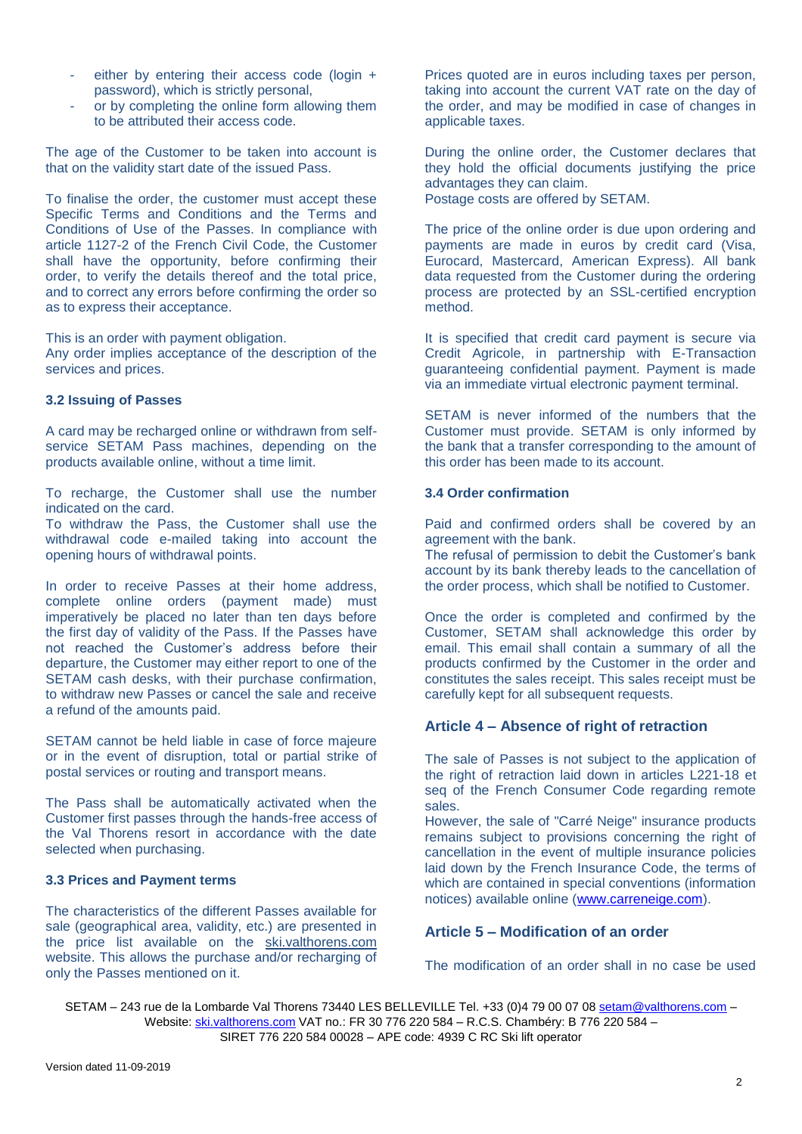- either by entering their access code (login + password), which is strictly personal,
- or by completing the online form allowing them to be attributed their access code.

The age of the Customer to be taken into account is that on the validity start date of the issued Pass.

To finalise the order, the customer must accept these Specific Terms and Conditions and the Terms and Conditions of Use of the Passes. In compliance with article 1127-2 of the French Civil Code, the Customer shall have the opportunity, before confirming their order, to verify the details thereof and the total price, and to correct any errors before confirming the order so as to express their acceptance.

This is an order with payment obligation.

Any order implies acceptance of the description of the services and prices.

#### **3.2 Issuing of Passes**

A card may be recharged online or withdrawn from selfservice SETAM Pass machines, depending on the products available online, without a time limit.

To recharge, the Customer shall use the number indicated on the card.

To withdraw the Pass, the Customer shall use the withdrawal code e-mailed taking into account the opening hours of withdrawal points.

In order to receive Passes at their home address, complete online orders (payment made) must imperatively be placed no later than ten days before the first day of validity of the Pass. If the Passes have not reached the Customer's address before their departure, the Customer may either report to one of the SETAM cash desks, with their purchase confirmation, to withdraw new Passes or cancel the sale and receive a refund of the amounts paid.

SETAM cannot be held liable in case of force majeure or in the event of disruption, total or partial strike of postal services or routing and transport means.

The Pass shall be automatically activated when the Customer first passes through the hands-free access of the Val Thorens resort in accordance with the date selected when purchasing.

## **3.3 Prices and Payment terms**

The characteristics of the different Passes available for sale (geographical area, validity, etc.) are presented in the price list available on the [ski.valthorens.com](http://www.valthorens.com/) website. This allows the purchase and/or recharging of only the Passes mentioned on it.

Prices quoted are in euros including taxes per person, taking into account the current VAT rate on the day of the order, and may be modified in case of changes in applicable taxes.

During the online order, the Customer declares that they hold the official documents justifying the price advantages they can claim. Postage costs are offered by SETAM.

The price of the online order is due upon ordering and payments are made in euros by credit card (Visa, Eurocard, Mastercard, American Express). All bank data requested from the Customer during the ordering process are protected by an SSL-certified encryption method.

It is specified that credit card payment is secure via Credit Agricole, in partnership with E-Transaction guaranteeing confidential payment. Payment is made via an immediate virtual electronic payment terminal.

SETAM is never informed of the numbers that the Customer must provide. SETAM is only informed by the bank that a transfer corresponding to the amount of this order has been made to its account.

#### **3.4 Order confirmation**

Paid and confirmed orders shall be covered by an agreement with the bank.

The refusal of permission to debit the Customer's bank account by its bank thereby leads to the cancellation of the order process, which shall be notified to Customer.

Once the order is completed and confirmed by the Customer, SETAM shall acknowledge this order by email. This email shall contain a summary of all the products confirmed by the Customer in the order and constitutes the sales receipt. This sales receipt must be carefully kept for all subsequent requests.

## **Article 4 – Absence of right of retraction**

The sale of Passes is not subject to the application of the right of retraction laid down in articles L221-18 et seq of the French Consumer Code regarding remote sales.

However, the sale of "Carré Neige" insurance products remains subject to provisions concerning the right of cancellation in the event of multiple insurance policies laid down by the French Insurance Code, the terms of which are contained in special conventions (information notices) available online [\(www.carreneige.com\)](http://www.carreneige.com/).

# **Article 5 – Modification of an order**

The modification of an order shall in no case be used

SETAM – 243 rue de la Lombarde Val Thorens 73440 LES BELLEVILLE Tel. +33 (0)4 79 00 07 0[8 setam@valthorens.com](mailto:setam@valthorens.com) – Website: [ski.valthorens.com](http://www.valthorens.com/) VAT no.: FR 30 776 220 584 – R.C.S. Chambéry: B 776 220 584 – SIRET 776 220 584 00028 – APE code: 4939 C RC Ski lift operator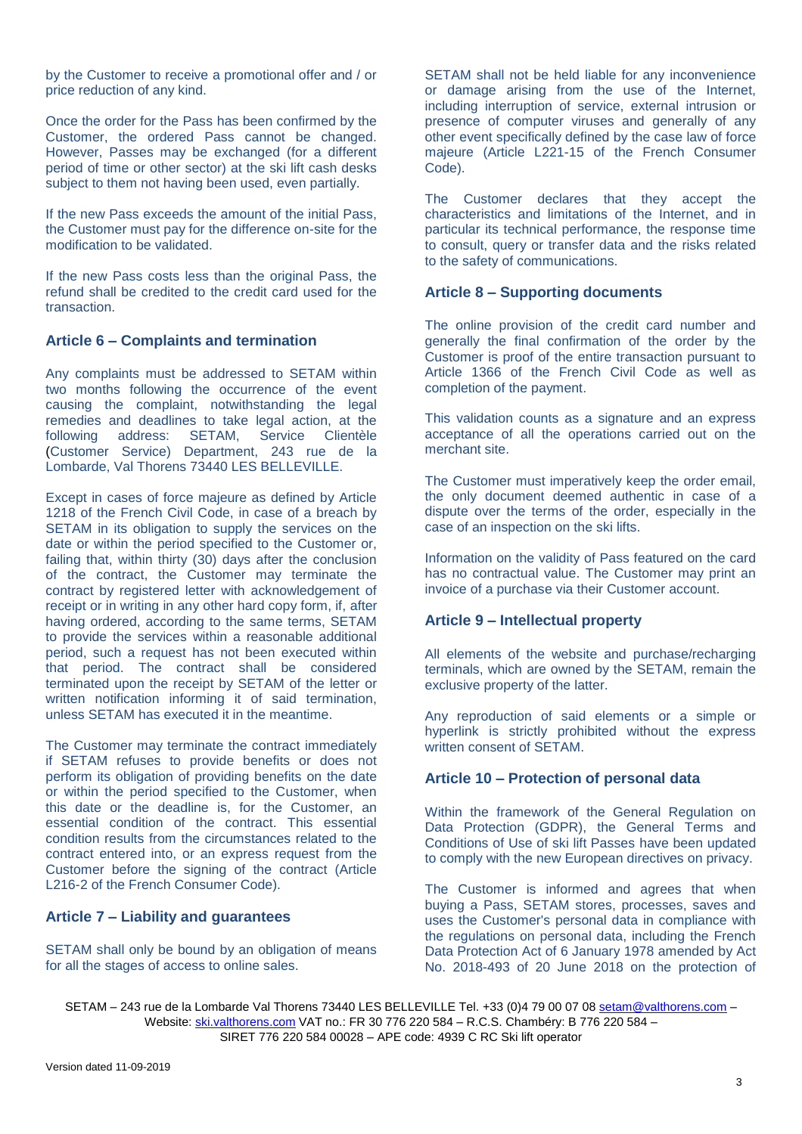by the Customer to receive a promotional offer and / or price reduction of any kind.

Once the order for the Pass has been confirmed by the Customer, the ordered Pass cannot be changed. However, Passes may be exchanged (for a different period of time or other sector) at the ski lift cash desks subject to them not having been used, even partially.

If the new Pass exceeds the amount of the initial Pass, the Customer must pay for the difference on-site for the modification to be validated.

If the new Pass costs less than the original Pass, the refund shall be credited to the credit card used for the transaction.

# **Article 6 – Complaints and termination**

Any complaints must be addressed to SETAM within two months following the occurrence of the event causing the complaint, notwithstanding the legal remedies and deadlines to take legal action, at the following address: SETAM. Service Clientèle SETAM, Service Clientèle (Customer Service) Department, 243 rue de la Lombarde, Val Thorens 73440 LES BELLEVILLE.

Except in cases of force majeure as defined by Article 1218 of the French Civil Code, in case of a breach by SETAM in its obligation to supply the services on the date or within the period specified to the Customer or, failing that, within thirty (30) days after the conclusion of the contract, the Customer may terminate the contract by registered letter with acknowledgement of receipt or in writing in any other hard copy form, if, after having ordered, according to the same terms, SETAM to provide the services within a reasonable additional period, such a request has not been executed within that period. The contract shall be considered terminated upon the receipt by SETAM of the letter or written notification informing it of said termination, unless SETAM has executed it in the meantime.

The Customer may terminate the contract immediately if SETAM refuses to provide benefits or does not perform its obligation of providing benefits on the date or within the period specified to the Customer, when this date or the deadline is, for the Customer, an essential condition of the contract. This essential condition results from the circumstances related to the contract entered into, or an express request from the Customer before the signing of the contract (Article L216-2 of the French Consumer Code).

## **Article 7 – Liability and guarantees**

SETAM shall only be bound by an obligation of means for all the stages of access to online sales.

SETAM shall not be held liable for any inconvenience or damage arising from the use of the Internet, including interruption of service, external intrusion or presence of computer viruses and generally of any other event specifically defined by the case law of force majeure (Article L221-15 of the French Consumer Code).

The Customer declares that they accept the characteristics and limitations of the Internet, and in particular its technical performance, the response time to consult, query or transfer data and the risks related to the safety of communications.

## **Article 8 – Supporting documents**

The online provision of the credit card number and generally the final confirmation of the order by the Customer is proof of the entire transaction pursuant to Article 1366 of the French Civil Code as well as completion of the payment.

This validation counts as a signature and an express acceptance of all the operations carried out on the merchant site.

The Customer must imperatively keep the order email, the only document deemed authentic in case of a dispute over the terms of the order, especially in the case of an inspection on the ski lifts.

Information on the validity of Pass featured on the card has no contractual value. The Customer may print an invoice of a purchase via their Customer account.

## **Article 9 – Intellectual property**

All elements of the website and purchase/recharging terminals, which are owned by the SETAM, remain the exclusive property of the latter.

Any reproduction of said elements or a simple or hyperlink is strictly prohibited without the express written consent of SFTAM

## **Article 10 – Protection of personal data**

Within the framework of the General Regulation on Data Protection (GDPR), the General Terms and Conditions of Use of ski lift Passes have been updated to comply with the new European directives on privacy.

The Customer is informed and agrees that when buying a Pass, SETAM stores, processes, saves and uses the Customer's personal data in compliance with the regulations on personal data, including the French Data Protection Act of 6 January 1978 amended by Act No. 2018-493 of 20 June 2018 on the protection of

SETAM – 243 rue de la Lombarde Val Thorens 73440 LES BELLEVILLE Tel. +33 (0)4 79 00 07 0[8 setam@valthorens.com](mailto:setam@valthorens.com) – Website: [ski.valthorens.com](http://www.valthorens.com/) VAT no.: FR 30 776 220 584 – R.C.S. Chambéry: B 776 220 584 – SIRET 776 220 584 00028 – APE code: 4939 C RC Ski lift operator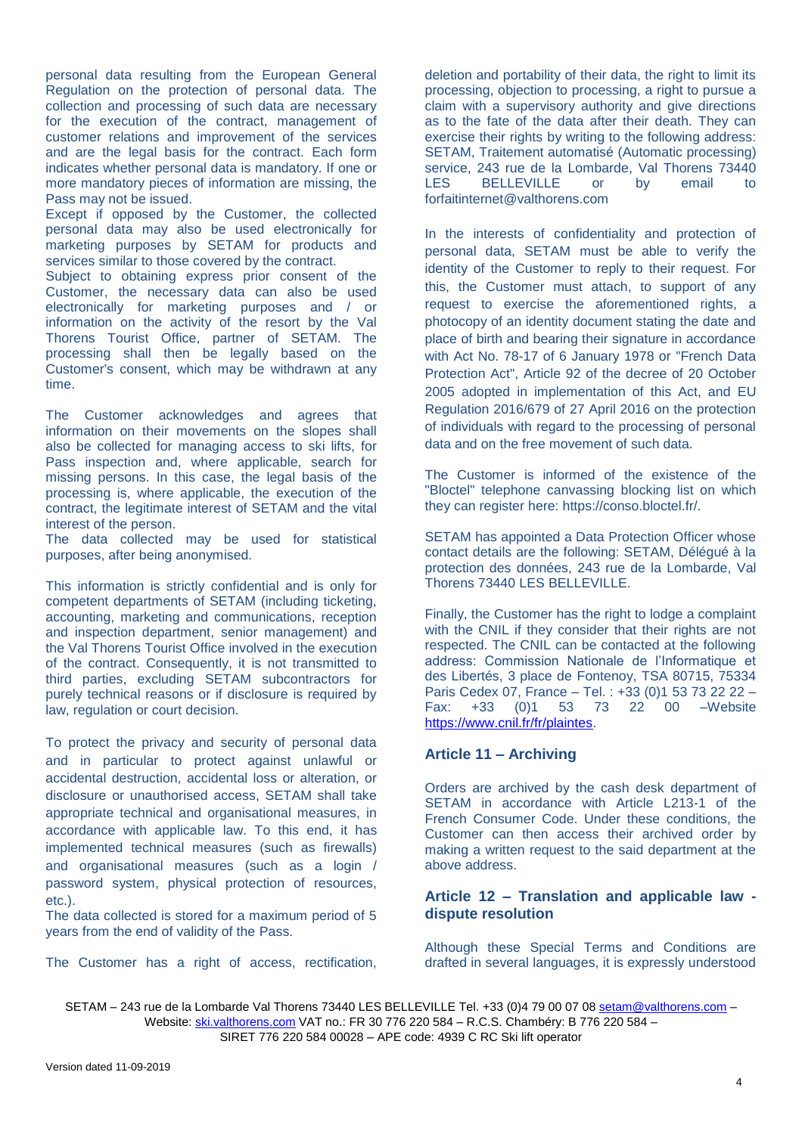personal data resulting from the European General Regulation on the protection of personal data. The collection and processing of such data are necessary for the execution of the contract, management of customer relations and improvement of the services and are the legal basis for the contract. Each form indicates whether personal data is mandatory. If one or more mandatory pieces of information are missing, the Pass may not be issued.

Except if opposed by the Customer, the collected personal data may also be used electronically for marketing purposes by SETAM for products and services similar to those covered by the contract.

Subject to obtaining express prior consent of the Customer, the necessary data can also be used electronically for marketing purposes and / or information on the activity of the resort by the Val Thorens Tourist Office, partner of SETAM. The processing shall then be legally based on the Customer's consent, which may be withdrawn at any time.

The Customer acknowledges and agrees that information on their movements on the slopes shall also be collected for managing access to ski lifts, for Pass inspection and, where applicable, search for missing persons. In this case, the legal basis of the processing is, where applicable, the execution of the contract, the legitimate interest of SETAM and the vital interest of the person.

The data collected may be used for statistical purposes, after being anonymised.

This information is strictly confidential and is only for competent departments of SETAM (including ticketing, accounting, marketing and communications, reception and inspection department, senior management) and the Val Thorens Tourist Office involved in the execution of the contract. Consequently, it is not transmitted to third parties, excluding SETAM subcontractors for purely technical reasons or if disclosure is required by law, regulation or court decision.

To protect the privacy and security of personal data and in particular to protect against unlawful or accidental destruction, accidental loss or alteration, or disclosure or unauthorised access, SETAM shall take appropriate technical and organisational measures, in accordance with applicable law. To this end, it has implemented technical measures (such as firewalls) and organisational measures (such as a login / password system, physical protection of resources, etc.).

The data collected is stored for a maximum period of 5 years from the end of validity of the Pass.

The Customer has a right of access, rectification,

deletion and portability of their data, the right to limit its processing, objection to processing, a right to pursue a claim with a supervisory authority and give directions as to the fate of the data after their death. They can exercise their rights by writing to the following address: SETAM, Traitement automatisé (Automatic processing) service, 243 rue de la Lombarde, Val Thorens 73440<br>LES BELLEVILLE or by email to BELLEVILLE or by email to forfaitinternet@valthorens.com

In the interests of confidentiality and protection of personal data, SETAM must be able to verify the identity of the Customer to reply to their request. For this, the Customer must attach, to support of any request to exercise the aforementioned rights, a photocopy of an identity document stating the date and place of birth and bearing their signature in accordance with Act No. 78-17 of 6 January 1978 or "French Data Protection Act", Article 92 of the decree of 20 October 2005 adopted in implementation of this Act, and EU Regulation 2016/679 of 27 April 2016 on the protection of individuals with regard to the processing of personal data and on the free movement of such data.

The Customer is informed of the existence of the "Bloctel" telephone canvassing blocking list on which they can register here: https://conso.bloctel.fr/.

SETAM has appointed a Data Protection Officer whose contact details are the following: SETAM, Délégué à la protection des données, 243 rue de la Lombarde, Val Thorens 73440 LES BELLEVILLE.

Finally, the Customer has the right to lodge a complaint with the CNIL if they consider that their rights are not respected. The CNIL can be contacted at the following address: Commission Nationale de l'Informatique et des Libertés, 3 place de Fontenoy, TSA 80715, 75334 Paris Cedex 07, France – Tel. : +33 (0)1 53 73 22 22 – Fax: +33 (0)1 53 73 22 00 –Website [https://www.cnil.fr/fr/plaintes.](https://www.cnil.fr/fr/plaintes)

## **Article 11 – Archiving**

Orders are archived by the cash desk department of SETAM in accordance with Article L213-1 of the French Consumer Code. Under these conditions, the Customer can then access their archived order by making a written request to the said department at the above address.

# **Article 12 – Translation and applicable law dispute resolution**

Although these Special Terms and Conditions are drafted in several languages, it is expressly understood

SETAM – 243 rue de la Lombarde Val Thorens 73440 LES BELLEVILLE Tel. +33 (0)4 79 00 07 0[8 setam@valthorens.com](mailto:setam@valthorens.com) – Website: [ski.valthorens.com](http://www.valthorens.com/) VAT no.: FR 30 776 220 584 – R.C.S. Chambéry: B 776 220 584 – SIRET 776 220 584 00028 – APE code: 4939 C RC Ski lift operator